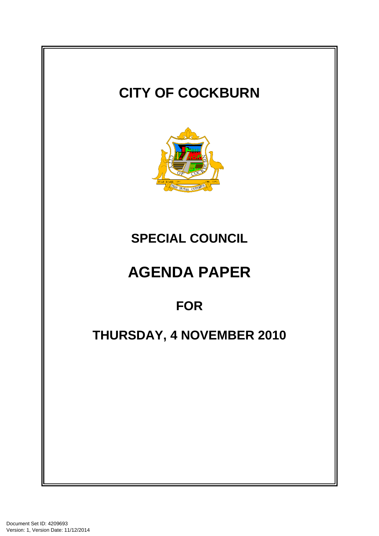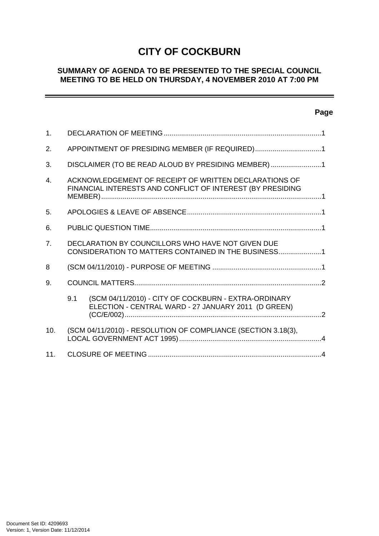# **CITY OF COCKBURN**

# **SUMMARY OF AGENDA TO BE PRESENTED TO THE SPECIAL COUNCIL MEETING TO BE HELD ON THURSDAY, 4 NOVEMBER 2010 AT 7:00 PM**

# **Page**

-

| 1.             |                                                                                                                     |                                                                                                             |
|----------------|---------------------------------------------------------------------------------------------------------------------|-------------------------------------------------------------------------------------------------------------|
| 2.             | APPOINTMENT OF PRESIDING MEMBER (IF REQUIRED)1                                                                      |                                                                                                             |
| 3.             | DISCLAIMER (TO BE READ ALOUD BY PRESIDING MEMBER)1                                                                  |                                                                                                             |
| $\mathbf{4}$ . | ACKNOWLEDGEMENT OF RECEIPT OF WRITTEN DECLARATIONS OF<br>FINANCIAL INTERESTS AND CONFLICT OF INTEREST (BY PRESIDING |                                                                                                             |
| 5.             |                                                                                                                     |                                                                                                             |
| 6.             |                                                                                                                     |                                                                                                             |
| 7 <sub>1</sub> | DECLARATION BY COUNCILLORS WHO HAVE NOT GIVEN DUE<br>CONSIDERATION TO MATTERS CONTAINED IN THE BUSINESS1            |                                                                                                             |
| 8              |                                                                                                                     |                                                                                                             |
| 9.             |                                                                                                                     |                                                                                                             |
|                | 9.1                                                                                                                 | (SCM 04/11/2010) - CITY OF COCKBURN - EXTRA-ORDINARY<br>ELECTION - CENTRAL WARD - 27 JANUARY 2011 (D GREEN) |
| 10.            | (SCM 04/11/2010) - RESOLUTION OF COMPLIANCE (SECTION 3.18(3),                                                       |                                                                                                             |
| 11.            |                                                                                                                     |                                                                                                             |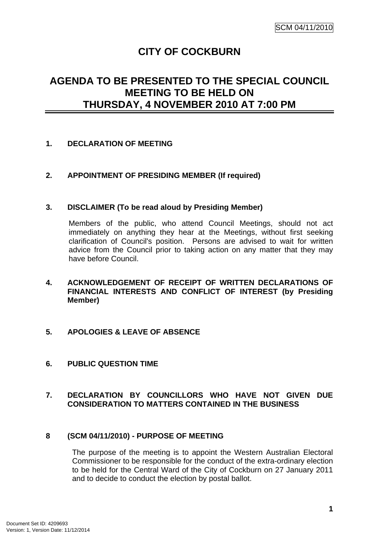# **CITY OF COCKBURN**

# <span id="page-2-0"></span>**AGENDA TO BE PRESENTED TO THE SPECIAL COUNCIL MEETING TO BE HELD ON THURSDAY, 4 NOVEMBER 2010 AT 7:00 PM**

## **1. DECLARATION OF MEETING**

## **2. APPOINTMENT OF PRESIDING MEMBER (If required)**

#### **3. DISCLAIMER (To be read aloud by Presiding Member)**

Members of the public, who attend Council Meetings, should not act immediately on anything they hear at the Meetings, without first seeking clarification of Council's position. Persons are advised to wait for written advice from the Council prior to taking action on any matter that they may have before Council.

- **4. ACKNOWLEDGEMENT OF RECEIPT OF WRITTEN DECLARATIONS OF FINANCIAL INTERESTS AND CONFLICT OF INTEREST (by Presiding Member)**
- **5. APOLOGIES & LEAVE OF ABSENCE**
- **6. PUBLIC QUESTION TIME**

## **7. DECLARATION BY COUNCILLORS WHO HAVE NOT GIVEN DUE CONSIDERATION TO MATTERS CONTAINED IN THE BUSINESS**

#### **8 (SCM 04/11/2010) - PURPOSE OF MEETING**

The purpose of the meeting is to appoint the Western Australian Electoral Commissioner to be responsible for the conduct of the extra-ordinary election to be held for the Central Ward of the City of Cockburn on 27 January 2011 and to decide to conduct the election by postal ballot.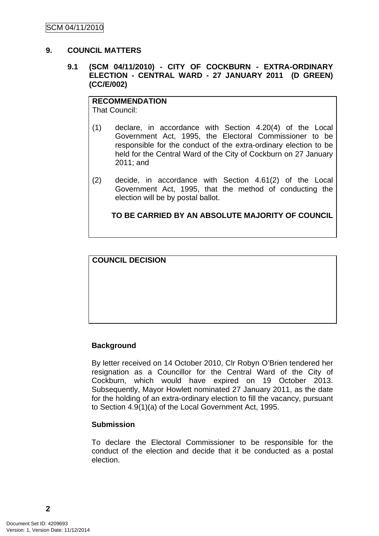### <span id="page-3-0"></span>**9. COUNCIL MATTERS**

### **9.1 (SCM 04/11/2010) - CITY OF COCKBURN - EXTRA-ORDINARY ELECTION - CENTRAL WARD - 27 JANUARY 2011 (D GREEN) (CC/E/002)**

**RECOMMENDATION** That Council:

- (1) declare, in accordance with Section 4.20(4) of the Local Government Act, 1995, the Electoral Commissioner to be responsible for the conduct of the extra-ordinary election to be held for the Central Ward of the City of Cockburn on 27 January 2011; and
- (2) decide, in accordance with Section 4.61(2) of the Local Government Act, 1995, that the method of conducting the election will be by postal ballot.

**TO BE CARRIED BY AN ABSOLUTE MAJORITY OF COUNCIL**

**COUNCIL DECISION**

# **Background**

By letter received on 14 October 2010, Clr Robyn O'Brien tendered her resignation as a Councillor for the Central Ward of the City of Cockburn, which would have expired on 19 October 2013. Subsequently, Mayor Howlett nominated 27 January 2011, as the date for the holding of an extra-ordinary election to fill the vacancy, pursuant to Section 4.9(1)(a) of the Local Government Act, 1995.

#### **Submission**

To declare the Electoral Commissioner to be responsible for the conduct of the election and decide that it be conducted as a postal election.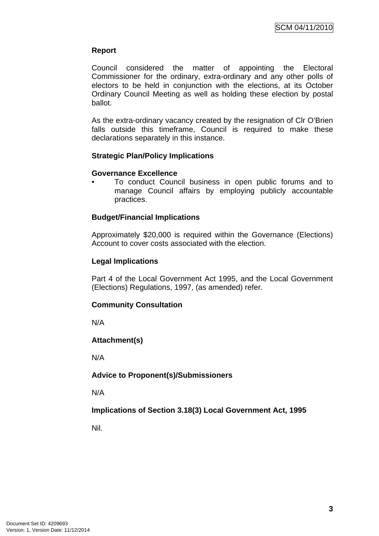## **Report**

Council considered the matter of appointing the Electoral Commissioner for the ordinary, extra-ordinary and any other polls of electors to be held in conjunction with the elections, at its October Ordinary Council Meeting as well as holding these election by postal ballot.

As the extra-ordinary vacancy created by the resignation of Clr O'Brien falls outside this timeframe, Council is required to make these declarations separately in this instance.

#### **Strategic Plan/Policy Implications**

#### **Governance Excellence**

• To conduct Council business in open public forums and to manage Council affairs by employing publicly accountable practices.

## **Budget/Financial Implications**

Approximately \$20,000 is required within the Governance (Elections) Account to cover costs associated with the election.

## **Legal Implications**

Part 4 of the Local Government Act 1995, and the Local Government (Elections) Regulations, 1997, (as amended) refer.

# **Community Consultation**

N/A

# **Attachment(s)**

N/A

# **Advice to Proponent(s)/Submissioners**

N/A

# **Implications of Section 3.18(3) Local Government Act, 1995**

Nil.